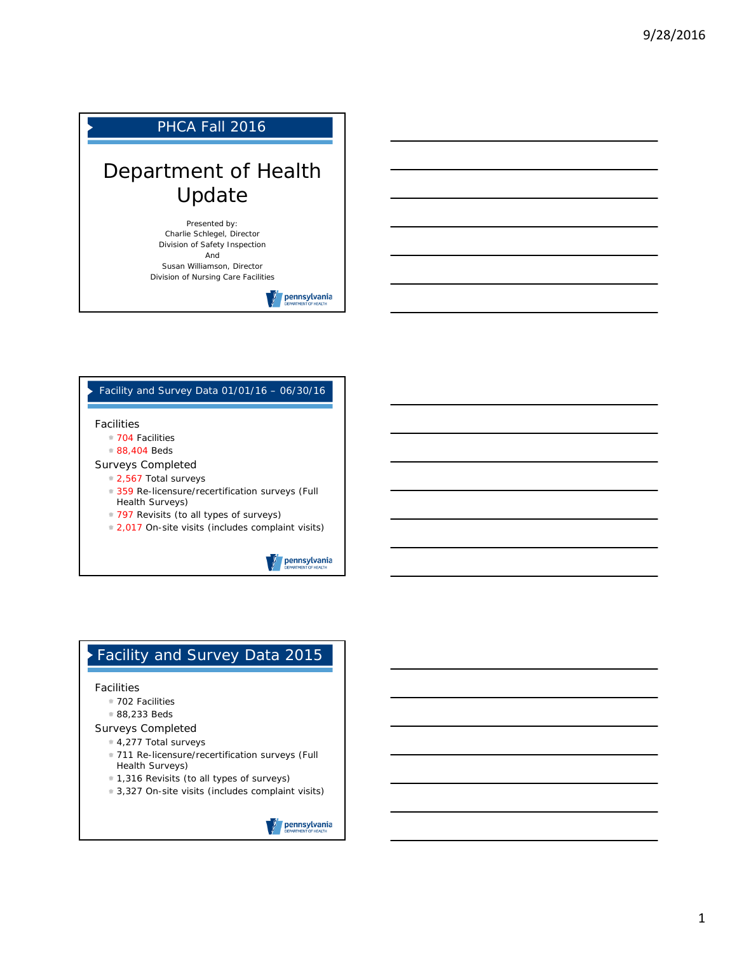# PHCA Fall 2016

# Department of Health Update

Presented by: Charlie Schlegel, Director Division of Safety Inspection And

Susan Williamson, Director Division of Nursing Care Facilities



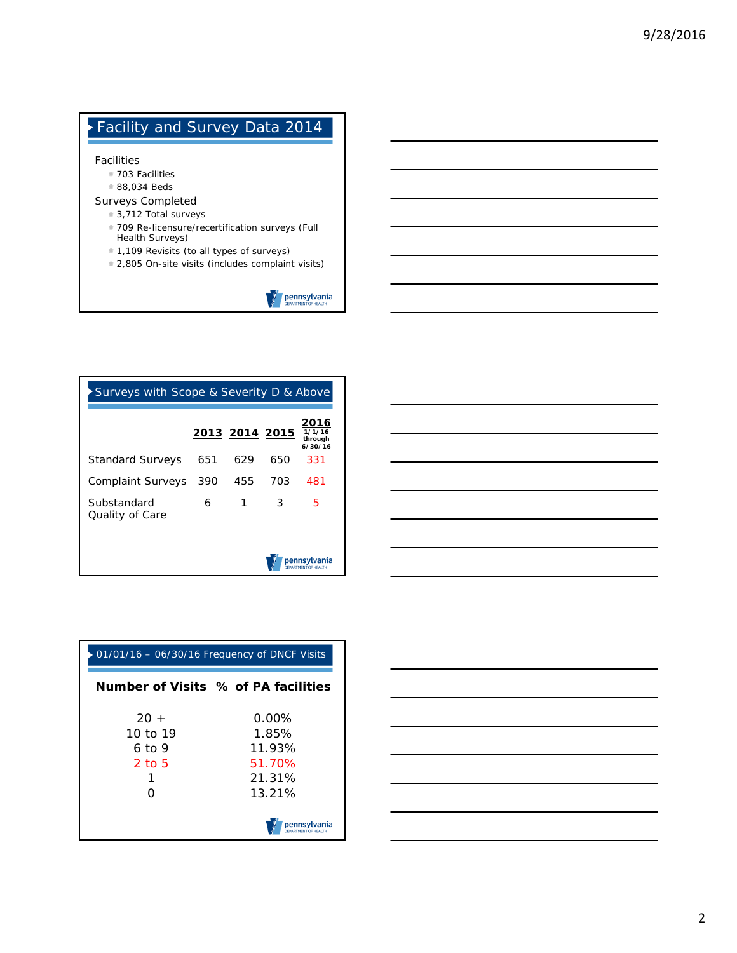# Facility and Survey Data 2014 Facilities 703 Facilities 88,034 Beds Surveys Completed **3,712 Total surveys** 709 Re-licensure/recertification surveys (Full Health Surveys) 1,109 Revisits (to all types of surveys) 2,805 On-site visits (includes complaint visits) **Dennsylvania**

| Surveys with Scope & Severity D & Above |     |                |     |                                      |
|-----------------------------------------|-----|----------------|-----|--------------------------------------|
|                                         |     | 2013 2014 2015 |     | 2016<br>1/1/16<br>through<br>6/30/16 |
| <b>Standard Surveys</b>                 | 651 | 629            | 650 | 331                                  |
| <b>Complaint Surveys</b>                | 390 | 455            | 703 | 481                                  |
| Substandard<br>Quality of Care          | 6   | 1              | 3   | 5                                    |
|                                         |     |                |     | pennsvlvania<br>RTMENT OF HEALTH     |

|          | 01/01/16 - 06/30/16 Frequency of DNCF Visits |
|----------|----------------------------------------------|
|          | Number of Visits % of PA facilities          |
| $20 +$   | 0.00%                                        |
| 10 to 19 | 1.85%                                        |
| 6 to 9   | 11.93%                                       |
| 2 to 5   | 51.70%                                       |
|          | 21.31%                                       |
|          | 13.21%                                       |
|          |                                              |

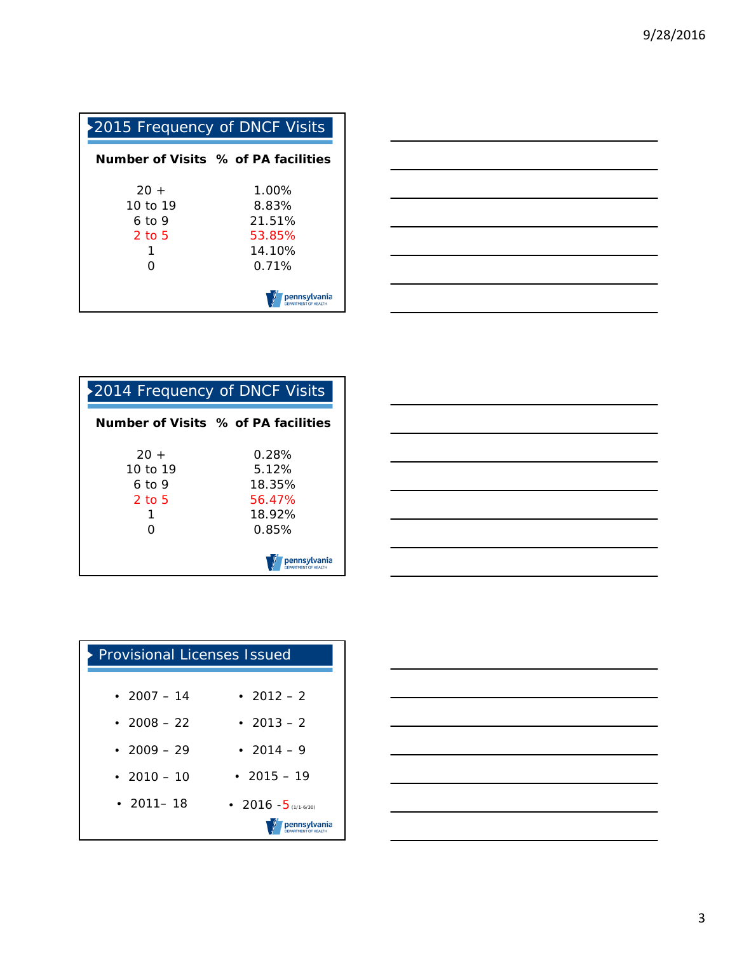| 2015 Frequency of DNCF Visits               |                                                          |
|---------------------------------------------|----------------------------------------------------------|
|                                             | Number of Visits % of PA facilities                      |
| $20 +$<br>10 to 19<br>6 to 9<br>2 to 5<br>Ω | $1.00\%$<br>8.83%<br>21.51%<br>53.85%<br>14.10%<br>በ 71% |
|                                             | pennsylvania                                             |



| 2014 Frequency of DNCF Visits               |                                                       |  |
|---------------------------------------------|-------------------------------------------------------|--|
|                                             | Number of Visits % of PA facilities                   |  |
| $20 +$<br>10 to 19<br>6 to 9<br>2 to 5<br>O | 0.28%<br>5.12%<br>18.35%<br>56.47%<br>18.92%<br>0.85% |  |
|                                             | pennsvlvania                                          |  |

| the control of the control of the |  |  |
|-----------------------------------|--|--|
|                                   |  |  |
|                                   |  |  |
|                                   |  |  |
|                                   |  |  |
|                                   |  |  |
|                                   |  |  |
|                                   |  |  |
| ___                               |  |  |
|                                   |  |  |
|                                   |  |  |
|                                   |  |  |
|                                   |  |  |

| <b>Provisional Licenses Issued</b> |                        |  |
|------------------------------------|------------------------|--|
| • 2007 $-14$                       | • $2012 - 2$           |  |
| • 2008 – 22                        | • 2013 – 2             |  |
| • $2009 - 29$                      | • 2014 – 9             |  |
| • 2010 – 10                        | • $2015 - 19$          |  |
| $\cdot$ 2011 - 18                  | • 2016 $-5$ (1/1-6/30) |  |
|                                    | pennsylvania           |  |

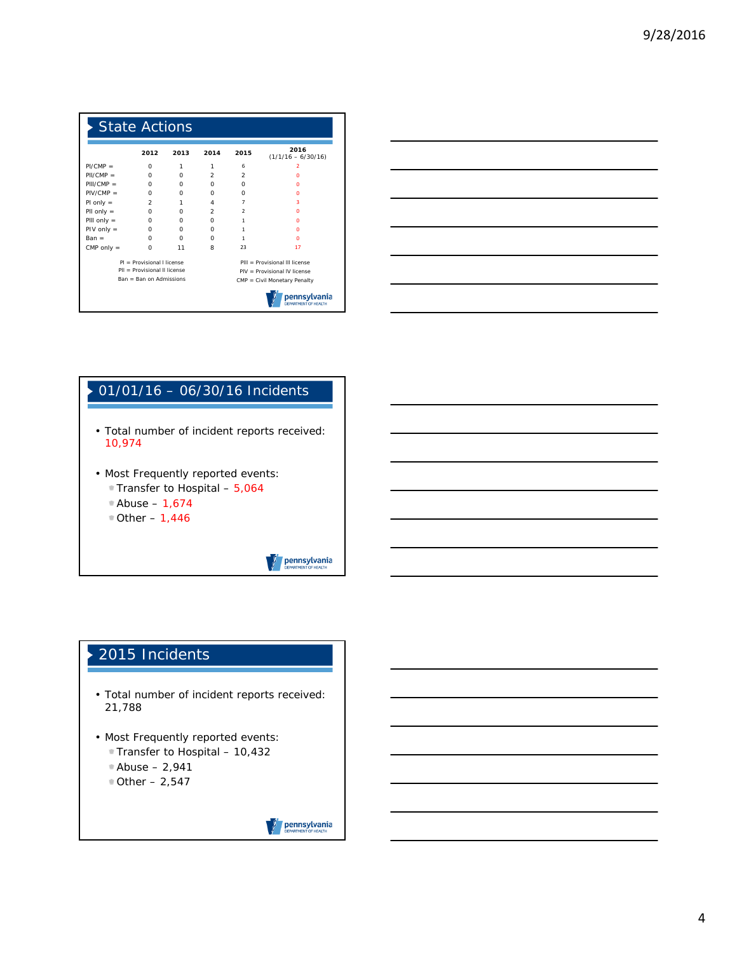| <b>State Actions</b> |                              |      |               |                          |                                |
|----------------------|------------------------------|------|---------------|--------------------------|--------------------------------|
|                      | 2012                         | 2013 | 2014          | 2015                     | 2016<br>$(1/1/16 - 6/30/16)$   |
| $PI/CMP =$           | $\Omega$                     | 1    | 1             | 6                        | 2                              |
| $PIICMP =$           | $\Omega$                     | O    | $\mathcal{P}$ | $\mathcal{P}$            | n                              |
| $PIII/CMP =$         | $\Omega$                     | O    | O             | O                        | n                              |
| $PIV/CMP =$          | O                            | O    | O             | O                        | n                              |
| $P1$ only =          | $\mathcal{P}$                | 1    | 4             | $\overline{7}$           | з                              |
| $PII$ only $=$       | O                            | O    | $\mathcal{P}$ | $\overline{\phantom{a}}$ | n                              |
| PIII only $=$        | $\Omega$                     | O    | $\Omega$      | 1                        | n                              |
| $PIV$ only =         | O                            | O    | O             | 1                        | n                              |
| $Ban =$              | C                            | C    | O             | 1                        | n                              |
| CMP only $=$         | $\Omega$                     | 11   | R             | 23                       | 17                             |
|                      | $PI = Provisional$ Llicense  |      |               |                          | PIII = Provisional III license |
|                      | PIL = Provisional II license |      |               |                          | PIV = Provisional IV license   |
|                      | $Ban = Ban on Admissible$    |      |               |                          | CMP = Civil Monetary Penalty   |
|                      |                              |      |               |                          | pennsvlvania                   |



# 01/01/16 – 06/30/16 Incidents • Total number of incident reports received: 10,974 • Most Frequently reported events: **Transfer to Hospital - 5,064** Abuse – 1,674  $\textdegree$  Other - 1,446 **pennsylvania**

# 2015 Incidents

- Total number of incident reports received: 21,788
- Most Frequently reported events:
	- Transfer to Hospital 10,432
	- Abuse 2,941  $\bullet$  Other  $-2,547$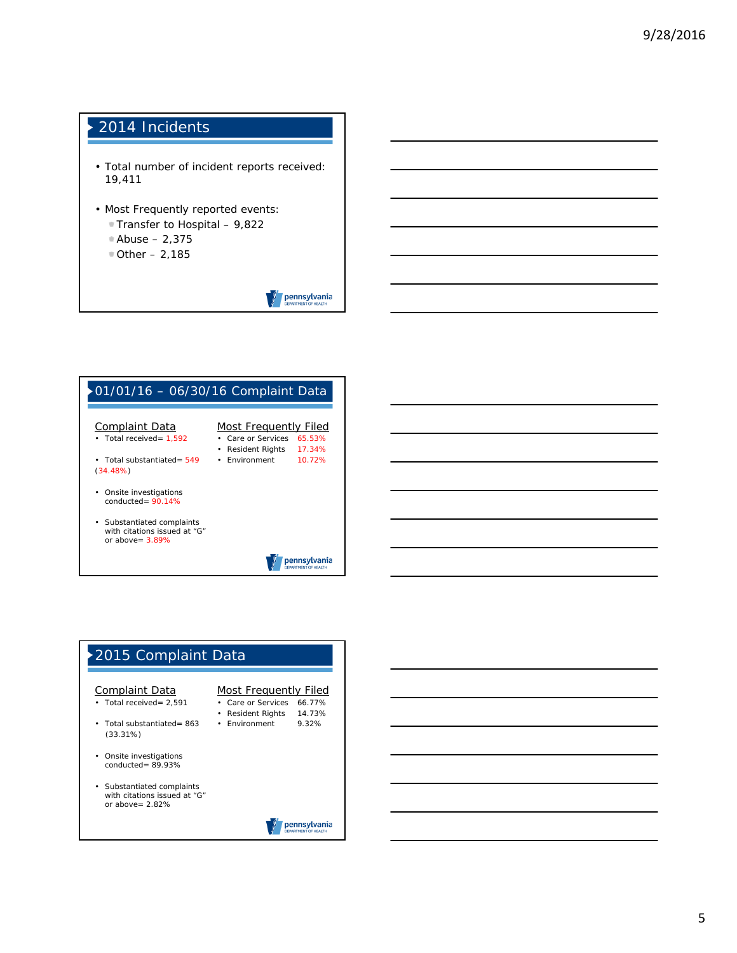# 2014 Incidents

- Total number of incident reports received: 19,411
- Most Frequently reported events:
	- Transfer to Hospital 9,822
	- Abuse 2,375
	- $\textdegree$  Other 2,185

pennsylvania





#### 5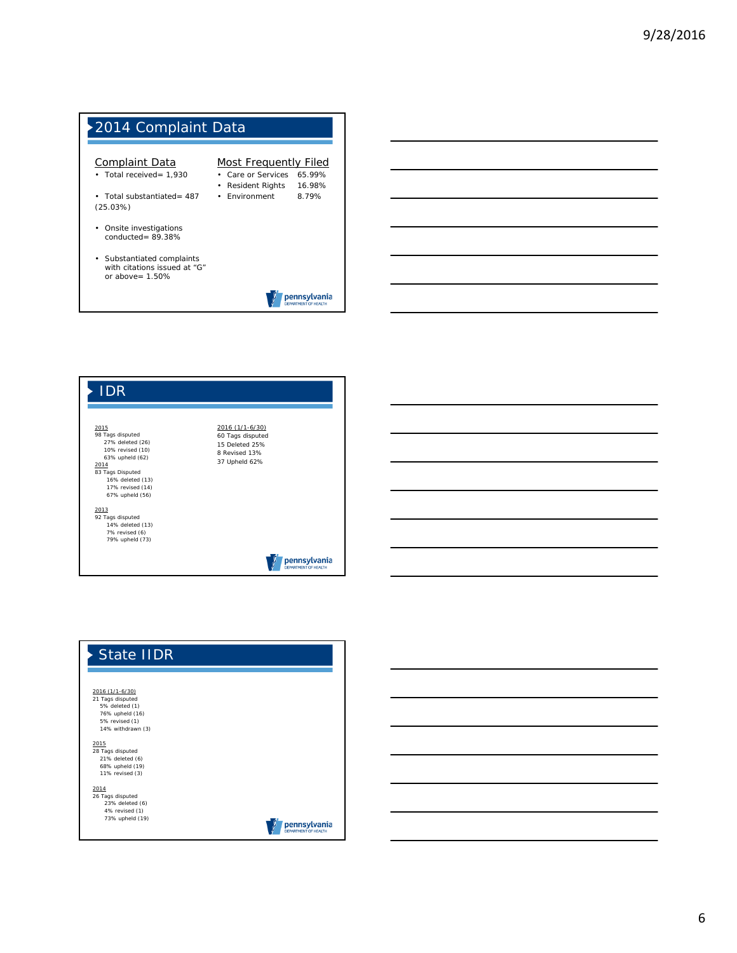



| <b>State IIDR</b>                                                                 |                                             |
|-----------------------------------------------------------------------------------|---------------------------------------------|
|                                                                                   |                                             |
| 2016 (1/1-6/30)<br>21 Tags disputed                                               |                                             |
| 5% deleted (1)                                                                    |                                             |
| 76% upheld (16)                                                                   |                                             |
| 5% revised (1)                                                                    |                                             |
| 14% withdrawn (3)                                                                 |                                             |
| 2015<br>28 Tags disputed<br>21% deleted (6)<br>68% upheld (19)<br>11% revised (3) |                                             |
| 2014                                                                              |                                             |
| 26 Tags disputed                                                                  |                                             |
| 23% deleted (6)                                                                   |                                             |
| 4% revised (1)                                                                    |                                             |
| 73% upheld (19)                                                                   | pennsylvania<br><b>DEPARTMENT OF HEALTH</b> |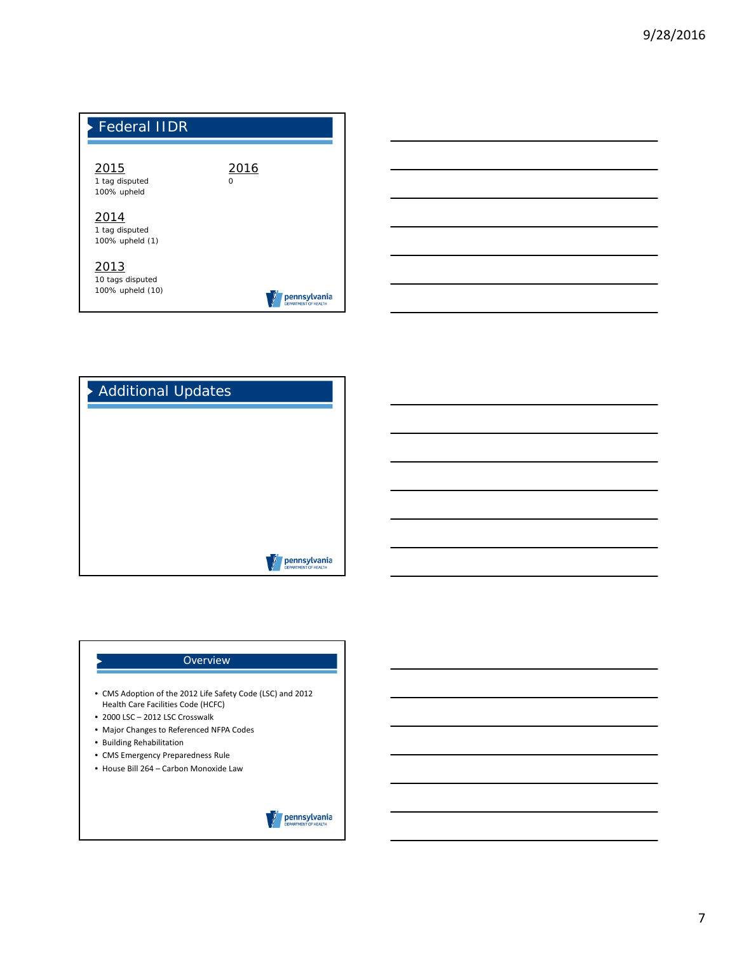





# **Overview** • CMS Adoption of the 2012 Life Safety Code (LSC) and 2012 Health Care Facilities Code (HCFC) • 2000 LSC – 2012 LSC Crosswalk • Major Changes to Referenced NFPA Codes • Building Rehabilitation • CMS Emergency Preparedness Rule • House Bill 264 – Carbon Monoxide Lawpennsylvania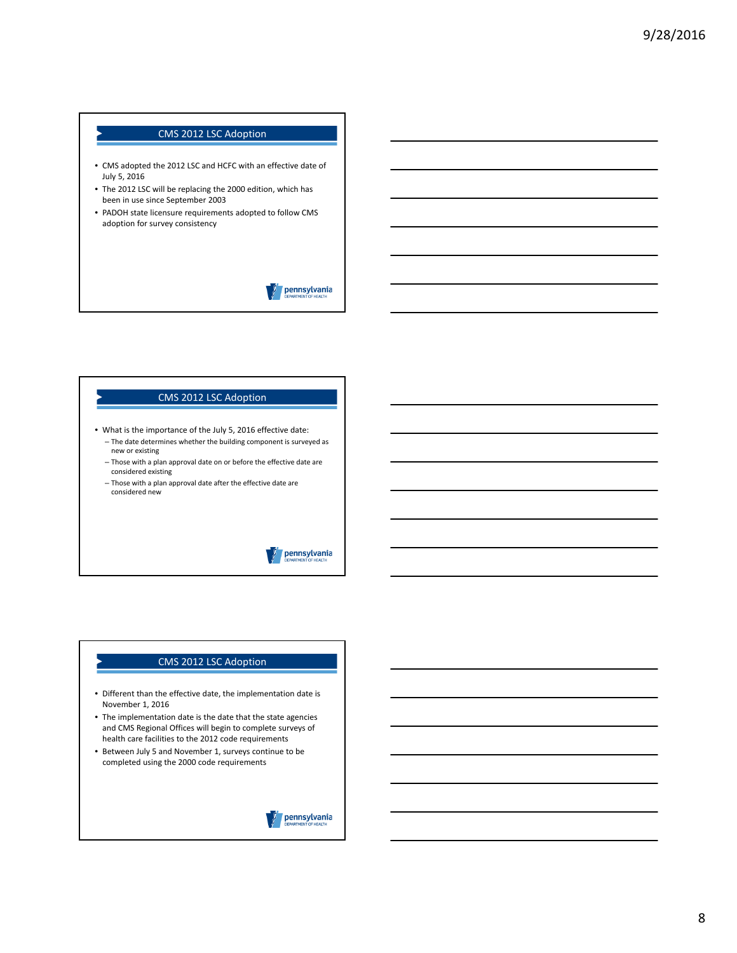- CMS adopted the 2012 LSC and HCFC with an effective date of July 5, 2016
- The 2012 LSC will be replacing the 2000 edition, which has been in use since September 2003
- PADOH state licensure requirements adopted to follow CMS adoption for survey consistency

pennsylvania

#### CMS 2012 LSC Adoption

- What is the importance of the July 5, 2016 effective date:
	- The date determines whether the building component is surveyed as new or existing
	- Those with a plan approval date on or before the effective date are considered existing
	- Those with a plan approval date after the effective date are considered new

# pennsylvania

- Different than the effective date, the implementation date is November 1, 2016
- The implementation date is the date that the state agencies and CMS Regional Offices will begin to complete surveys of health care facilities to the 2012 code requirements
- Between July 5 and November 1, surveys continue to be completed using the 2000 code requirements

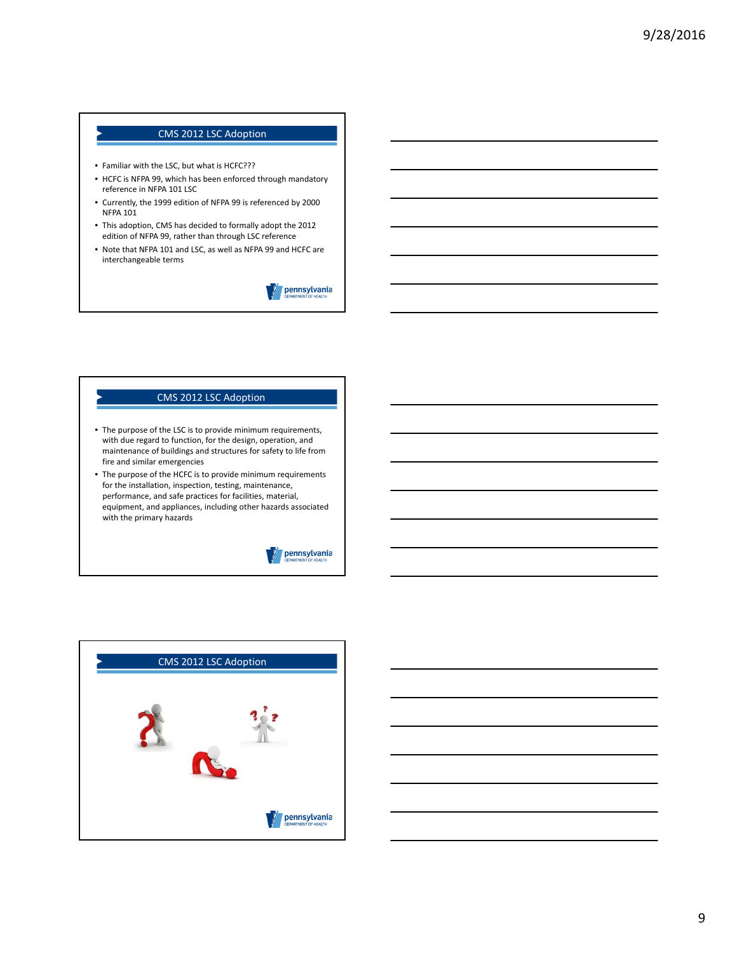- Familiar with the LSC, but what is HCFC???
- HCFC is NFPA 99, which has been enforced through mandatory reference in NFPA 101 LSC
- Currently, the 1999 edition of NFPA 99 is referenced by 2000 NFPA 101
- This adoption, CMS has decided to formally adopt the 2012 edition of NFPA 99, rather than through LSC reference
- Note that NFPA 101 and LSC, as well as NFPA 99 and HCFC are interchangeable terms

pennsylvania

- The purpose of the LSC is to provide minimum requirements, with due regard to function, for the design, operation, and maintenance of buildings and structures for safety to life from fire and similar emergencies
- The purpose of the HCFC is to provide minimum requirements for the installation, inspection, testing, maintenance, performance, and safe practices for facilities, material, equipment, and appliances, including other hazards associated with the primary hazards



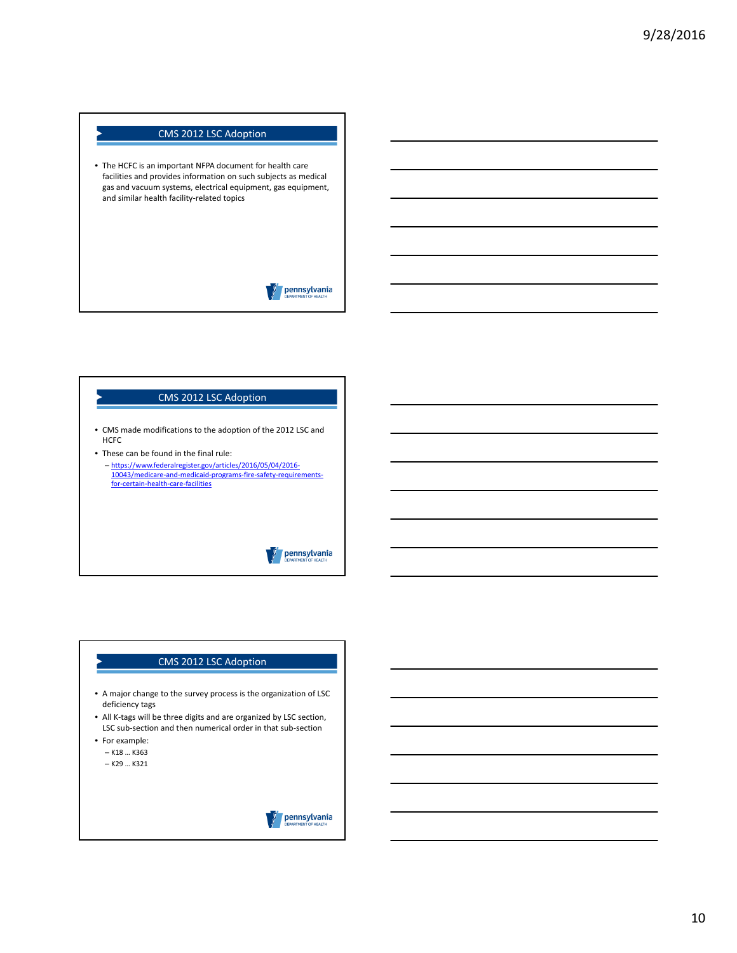• The HCFC is an important NFPA document for health care facilities and provides information on such subjects as medical gas and vacuum systems, electrical equipment, gas equipment, and similar health facility-related topics

pennsylvania

#### CMS 2012 LSC Adoption

- CMS made modifications to the adoption of the 2012 LSC and HCFC
- These can be found in the final rule: – https://www.federalregister.gov/articles/2016/05/04/2016‐ 10043/medicare‐and‐medicaid‐programs‐fire‐safety‐requirements‐ for‐certain‐health‐care‐facilities

pennsylvania

### CMS 2012 LSC Adoption

- A major change to the survey process is the organization of LSC deficiency tags
- All K-tags will be three digits and are organized by LSC section, LSC sub-section and then numerical order in that sub-section
- For example: – K18 … K363
	- K29 … K321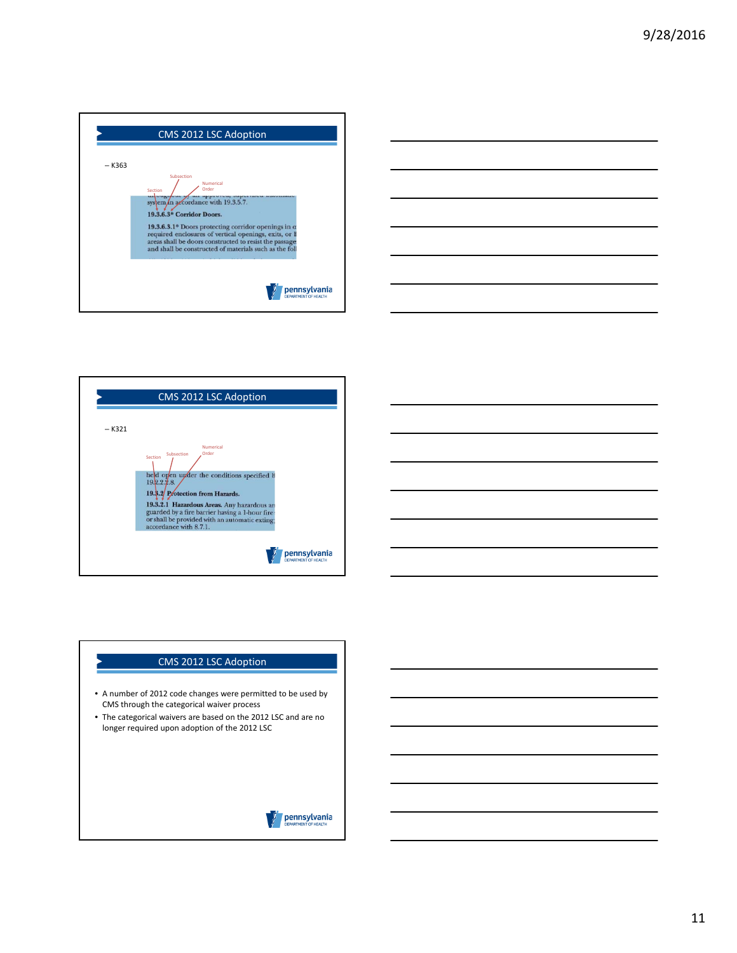





- A number of 2012 code changes were permitted to be used by CMS through the categorical waiver process
- The categorical waivers are based on the 2012 LSC and are no longer required upon adoption of the 2012 LSC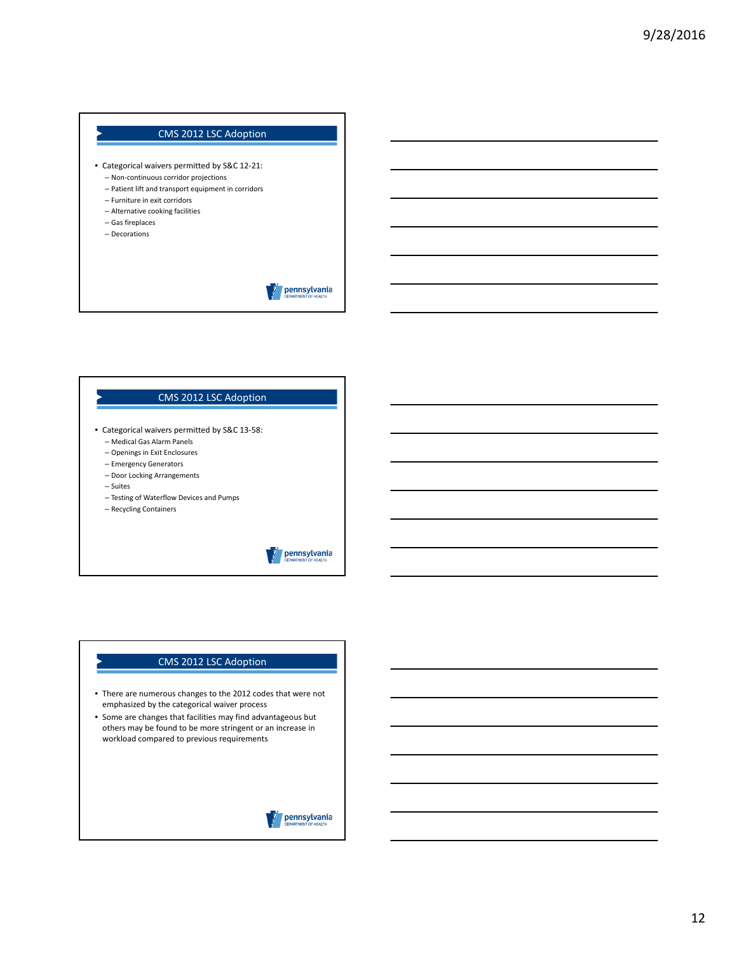- Categorical waivers permitted by S&C 12‐21: – Non‐continuous corridor projections
	- Patient lift and transport equipment in corridors
	- Furniture in exit corridors
	- Alternative cooking facilities
	- Gas fireplaces
	- Decorations

pennsylvania

#### CMS 2012 LSC Adoption

- Categorical waivers permitted by S&C 13‐58:
	- Medical Gas Alarm Panels
	- Openings in Exit Enclosures
	- Emergency Generators
	- Door Locking Arrangements
	- Suites
	- Testing of Waterflow Devices and Pumps
	- Recycling Containers

# pennsylvania

- There are numerous changes to the 2012 codes that were not emphasized by the categorical waiver process
- Some are changes that facilities may find advantageous but others may be found to be more stringent or an increase in workload compared to previous requirements

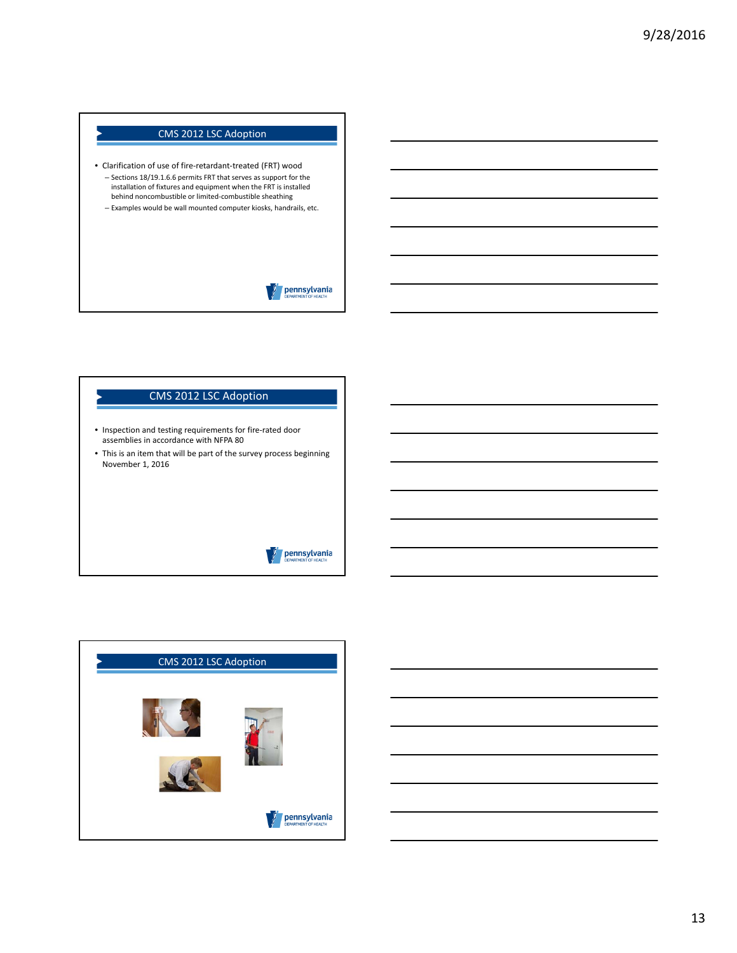- Clarification of use of fire‐retardant‐treated (FRT) wood – Sections 18/19.1.6.6 permits FRT that serves as support for the installation of fixtures and equipment when the FRT is installed behind noncombustible or limited‐combustible sheathing – Examples would be wall mounted computer kiosks, handrails, etc.
	- pennsylvania

# CMS 2012 LSC Adoption

- Inspection and testing requirements for fire‐rated door assemblies in accordance with NFPA 80
- This is an item that will be part of the survey process beginning November 1, 2016

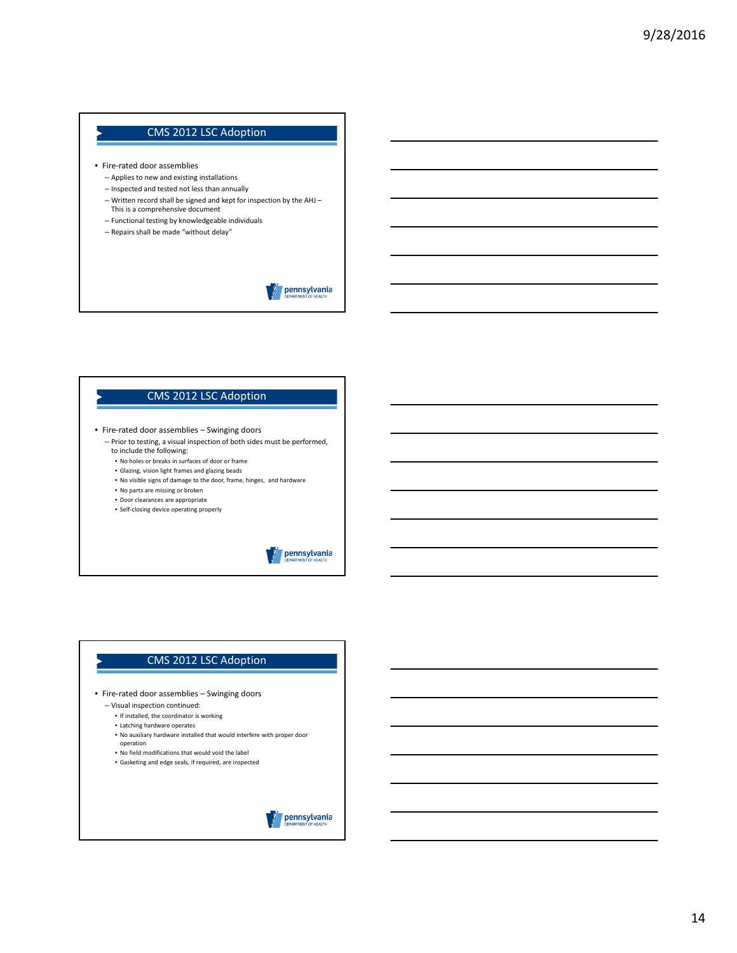- Fire‐rated door assemblies
	- Applies to new and existing installations
	- Inspected and tested not less than annually
	- Written record shall be signed and kept for inspection by the AHJ This is a comprehensive document
	- Functional testing by knowledgeable individuals
	- Repairs shall be made "without delay"

pennsylvania

# CMS 2012 LSC Adoption

- Fire‐rated door assemblies Swinging doors
	- Prior to testing, a visual inspection of both sides must be performed, to include the following:
		- No holes or breaks in surfaces of door or frame
		- Glazing, vision light frames and glazing beads
		- No visible signs of damage to the door, frame, hinges, and hardware
		- No parts are missing or broken
		- Door clearances are appropriate
		- Self‐closing device operating properly



- Fire-rated door assemblies Swinging doors
	- Visual inspection continued:
		- If installed, the coordinator is working
		- Latching hardware operates
		- No auxiliary hardware installed that would interfere with proper door operation
		- No field modifications that would void the label
		- Gasketing and edge seals, if required, are inspected

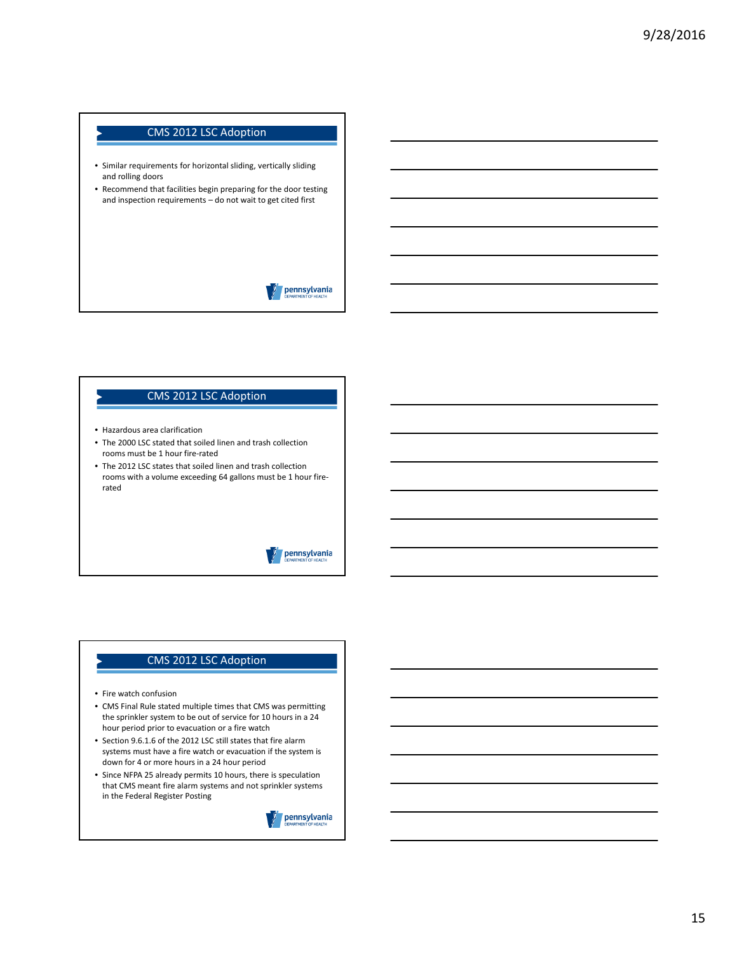- Similar requirements for horizontal sliding, vertically sliding and rolling doors
- Recommend that facilities begin preparing for the door testing and inspection requirements – do not wait to get cited first

pennsylvania

#### CMS 2012 LSC Adoption

- Hazardous area clarification
- The 2000 LSC stated that soiled linen and trash collection rooms must be 1 hour fire‐rated
- The 2012 LSC states that soiled linen and trash collection rooms with a volume exceeding 64 gallons must be 1 hour fire‐ rated

### pennsylvania

- Fire watch confusion
- CMS Final Rule stated multiple times that CMS was permitting the sprinkler system to be out of service for 10 hours in a 24 hour period prior to evacuation or a fire watch
- Section 9.6.1.6 of the 2012 LSC still states that fire alarm systems must have a fire watch or evacuation if the system is down for 4 or more hours in a 24 hour period
- Since NFPA 25 already permits 10 hours, there is speculation that CMS meant fire alarm systems and not sprinkler systems in the Federal Register Posting

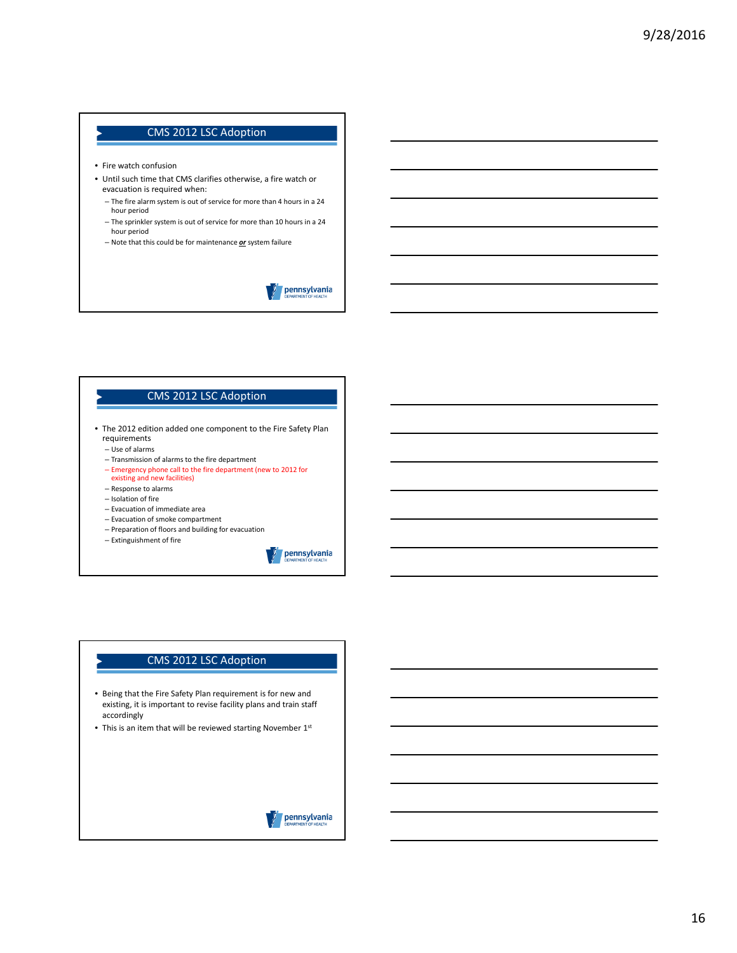- Fire watch confusion
- Until such time that CMS clarifies otherwise, a fire watch or evacuation is required when:
	- The fire alarm system is out of service for more than 4 hours in a 24 hour period
	- The sprinkler system is out of service for more than 10 hours in a 24 hour period
	- Note that this could be for maintenance *or* system failure

pennsylvania

#### CMS 2012 LSC Adoption

- The 2012 edition added one component to the Fire Safety Plan requirements
	- Use of alarms
	- Transmission of alarms to the fire department
	- Emergency phone call to the fire department (new to 2012 for
	- existing and new facilities)
	- Response to alarms
	- Isolation of fire
	- Evacuation of immediate area
	- Evacuation of smoke compartment
	- Preparation of floors and building for evacuation
	- Extinguishment of fire

pennsylvania

- Being that the Fire Safety Plan requirement is for new and existing, it is important to revise facility plans and train staff accordingly
- This is an item that will be reviewed starting November  $1<sup>st</sup>$

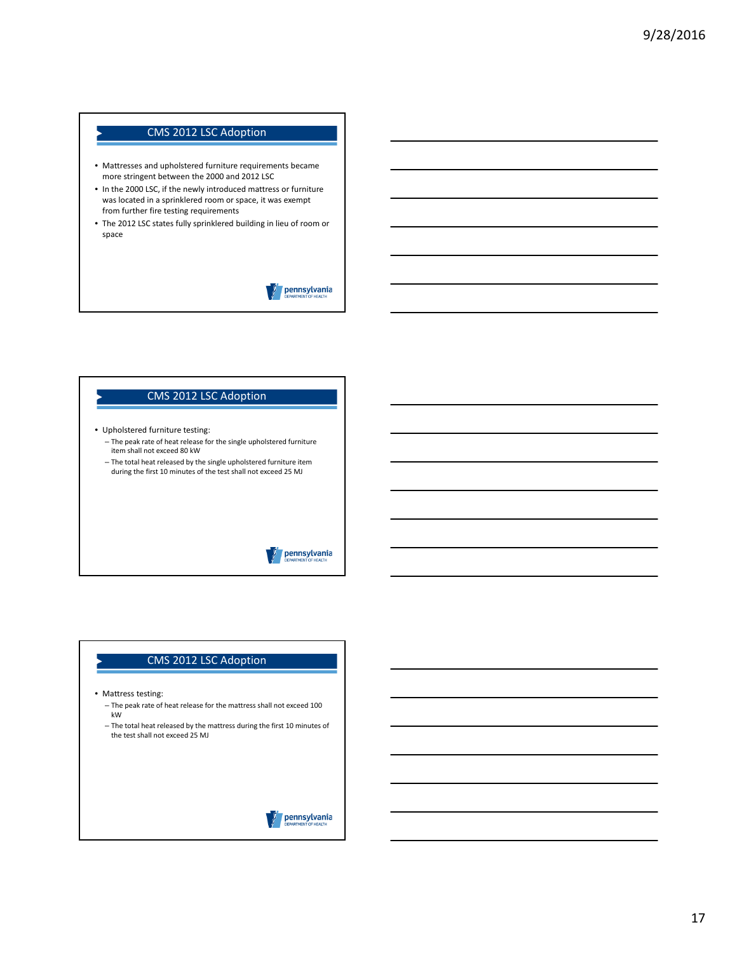- Mattresses and upholstered furniture requirements became more stringent between the 2000 and 2012 LSC
- In the 2000 LSC, if the newly introduced mattress or furniture was located in a sprinklered room or space, it was exempt from further fire testing requirements
- The 2012 LSC states fully sprinklered building in lieu of room or space

# pennsylvania

- Upholstered furniture testing:
	- The peak rate of heat release for the single upholstered furniture item shall not exceed 80 kW

CMS 2012 LSC Adoption

– The total heat released by the single upholstered furniture item during the first 10 minutes of the test shall not exceed 25 MJ

# pennsylvania

- Mattress testing:
	- The peak rate of heat release for the mattress shall not exceed 100 kW
	- The total heat released by the mattress during the first 10 minutes of the test shall not exceed 25 MJ

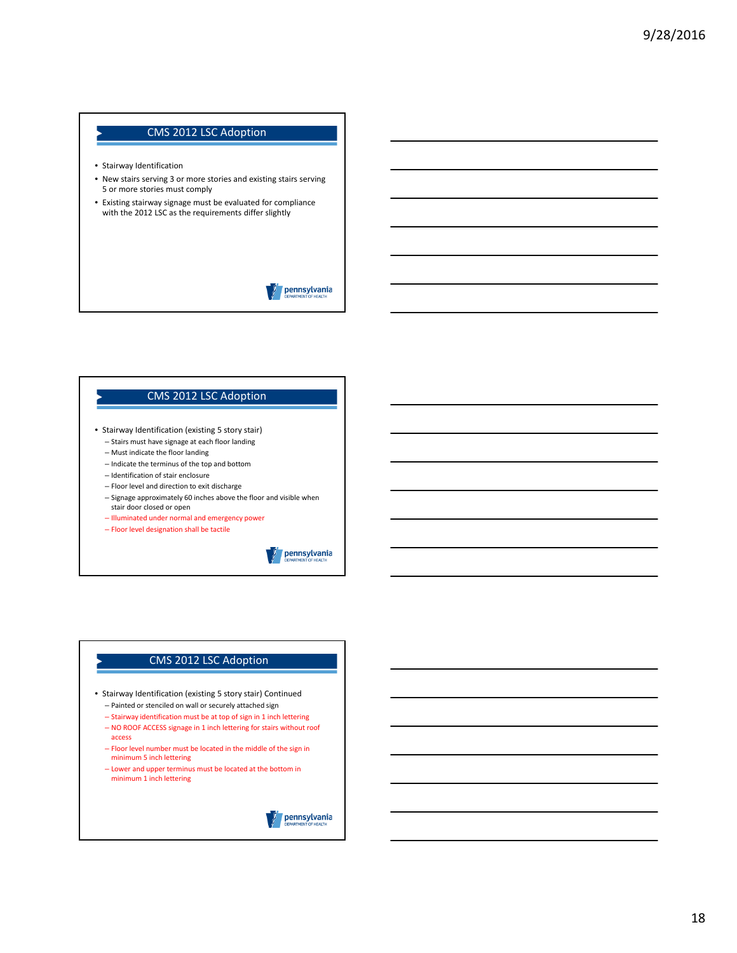- Stairway Identification
- New stairs serving 3 or more stories and existing stairs serving 5 or more stories must comply
- Existing stairway signage must be evaluated for compliance with the 2012 LSC as the requirements differ slightly

pennsylvania

#### CMS 2012 LSC Adoption

- Stairway Identification (existing 5 story stair)
	- Stairs must have signage at each floor landing
	- Must indicate the floor landing – Indicate the terminus of the top and bottom
	- Identification of stair enclosure
	- Floor level and direction to exit discharge
	- Signage approximately 60 inches above the floor and visible when stair door closed or open
	- Illuminated under normal and emergency power
	- Floor level designation shall be tactile

pennsylvania

- Stairway Identification (existing 5 story stair) Continued – Painted or stenciled on wall or securely attached sign
	- Stairway identification must be at top of sign in 1 inch lettering
	- NO ROOF ACCESS signage in 1 inch lettering for stairs without roof access
	- Floor level number must be located in the middle of the sign in minimum 5 inch lettering
	- Lower and upper terminus must be located at the bottom in minimum 1 inch lettering

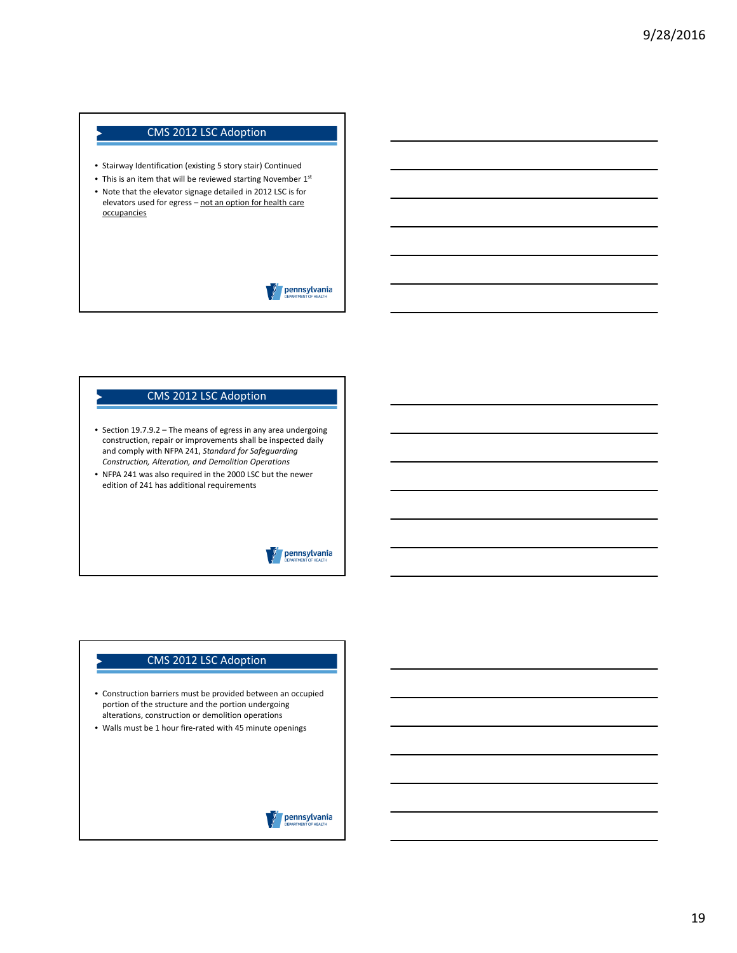- Stairway Identification (existing 5 story stair) Continued
- This is an item that will be reviewed starting November 1st
- Note that the elevator signage detailed in 2012 LSC is for elevators used for egress – not an option for health care **occupancies**

pennsylvania

#### CMS 2012 LSC Adoption

- Section 19.7.9.2 The means of egress in any area undergoing construction, repair or improvements shall be inspected daily and comply with NFPA 241, *Standard for Safeguarding Construction, Alteration, and Demolition Operations*
- NFPA 241 was also required in the 2000 LSC but the newer edition of 241 has additional requirements

#### pennsylvania

- Construction barriers must be provided between an occupied portion of the structure and the portion undergoing alterations, construction or demolition operations
- Walls must be 1 hour fire‐rated with 45 minute openings

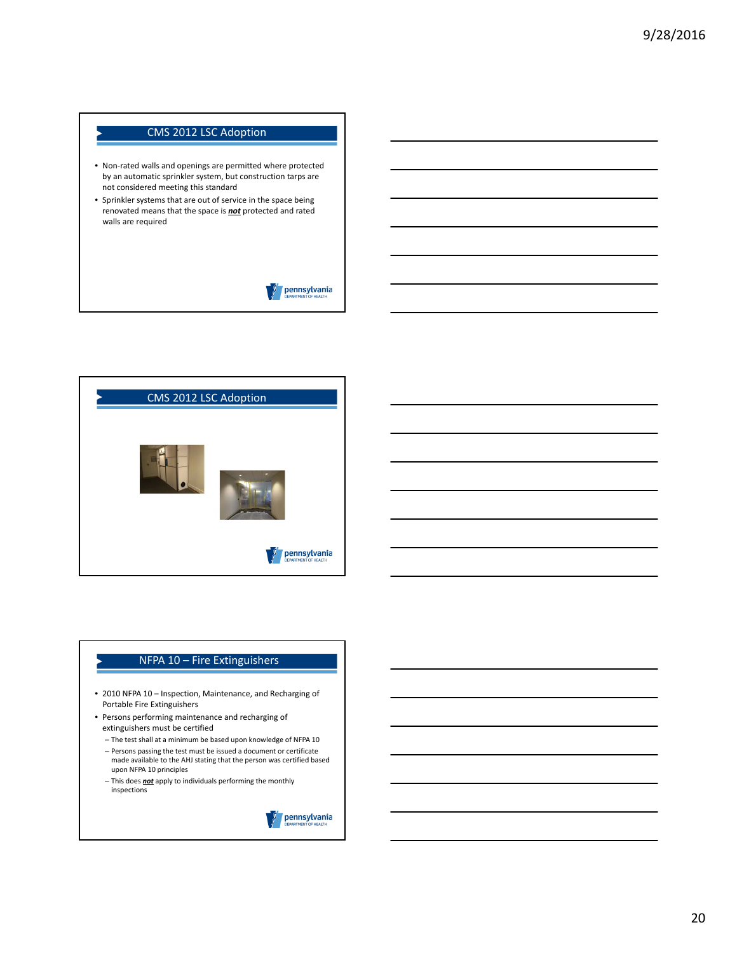- Non‐rated walls and openings are permitted where protected by an automatic sprinkler system, but construction tarps are not considered meeting this standard
- Sprinkler systems that are out of service in the space being renovated means that the space is *not* protected and rated walls are required





# NFPA 10 - Fire Extinguishers

- 2010 NFPA 10 Inspection, Maintenance, and Recharging of Portable Fire Extinguishers
- Persons performing maintenance and recharging of extinguishers must be certified
	- The test shall at a minimum be based upon knowledge of NFPA 10 – Persons passing the test must be issued a document or certificate made available to the AHJ stating that the person was certified based upon NFPA 10 principles
	- This does *not* apply to individuals performing the monthly inspections

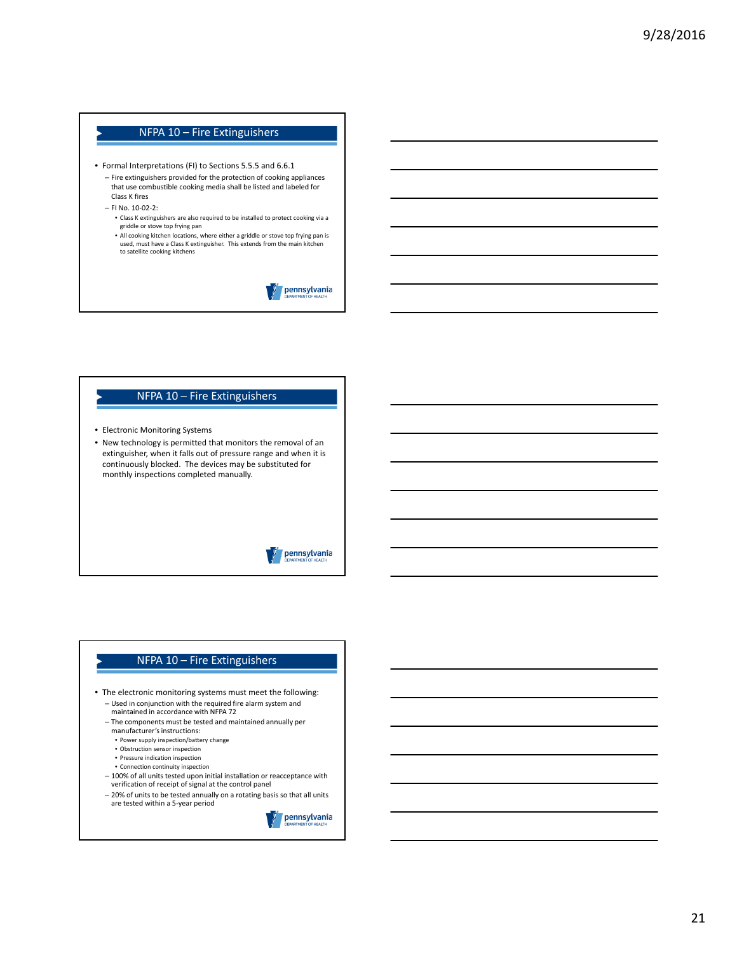# NFPA 10 – Fire Extinguishers

- Formal Interpretations (FI) to Sections 5.5.5 and 6.6.1
	- Fire extinguishers provided for the protection of cooking appliances that use combustible cooking media shall be listed and labeled for Class K fires
	- FI No. 10‐02‐2:
		- Class K extinguishers are also required to be installed to protect cooking via a griddle or stove top frying pan
		- All cooking kitchen locations, where either a griddle or stove top frying pan is used, must have a Class K extinguisher. This extends from the main kitchen to satellite cooking kitchens

pennsylvania

#### NFPA 10 – Fire Extinguishers

- Electronic Monitoring Systems
- New technology is permitted that monitors the removal of an extinguisher, when it falls out of pressure range and when it is continuously blocked. The devices may be substituted for monthly inspections completed manually.

#### pennsylvania

# NFPA 10 – Fire Extinguishers

- The electronic monitoring systems must meet the following: – Used in conjunction with the required fire alarm system and maintained in accordance with NFPA 72
	- The components must be tested and maintained annually per manufacturer's instructions:
		- Power supply inspection/battery change
		- Obstruction sensor inspection
		- Pressure indication inspection
		- Connection continuity inspection
	- 100% of all units tested upon initial installation or reacceptance with verification of receipt of signal at the control panel
	- 20% of units to be tested annually on a rotating basis so that all units are tested within a 5‐year period

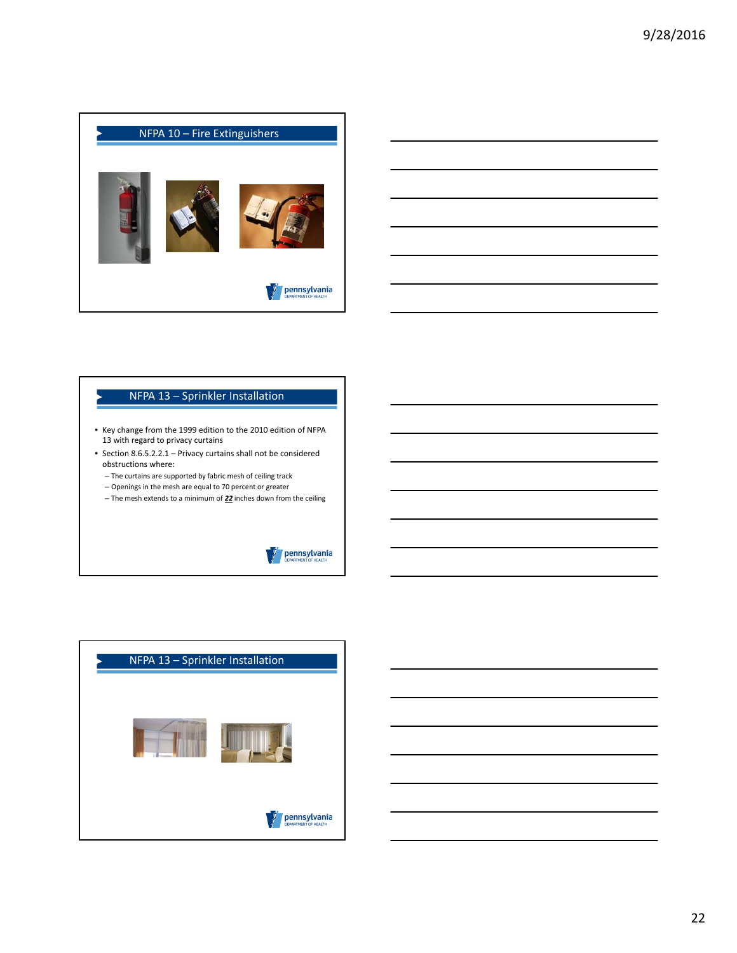

#### NFPA 13 – Sprinkler Installation

- Key change from the 1999 edition to the 2010 edition of NFPA 13 with regard to privacy curtains
- Section 8.6.5.2.2.1 Privacy curtains shall not be considered obstructions where:
	- The curtains are supported by fabric mesh of ceiling track
	- Openings in the mesh are equal to 70 percent or greater – The mesh extends to a minimum of *22* inches down from the ceiling



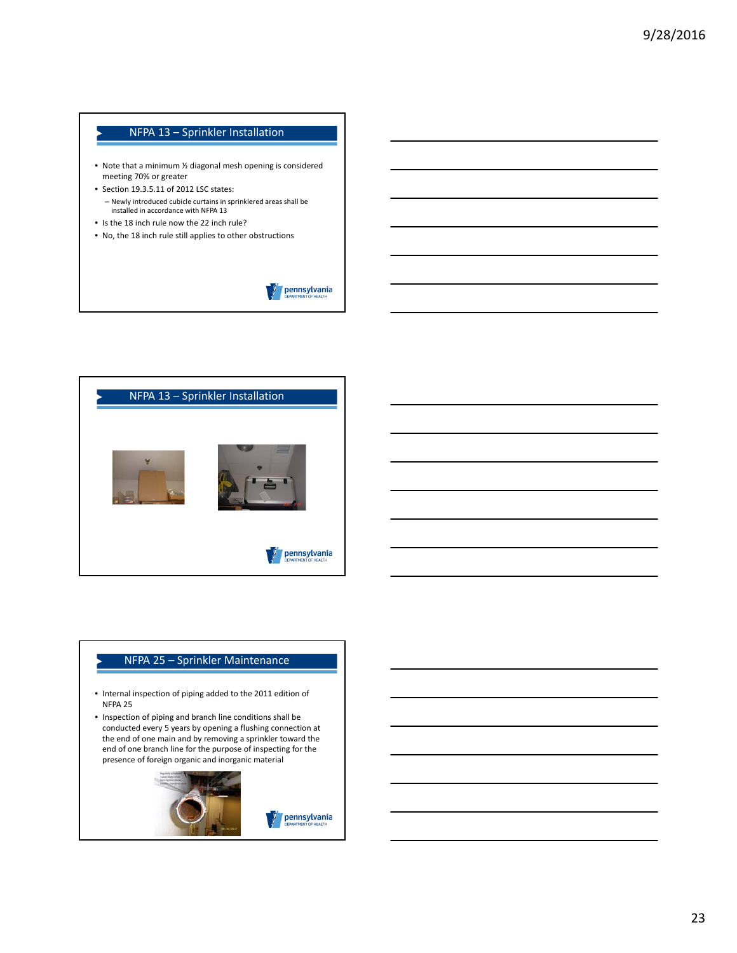# NFPA 13 – Sprinkler Installation

- Note that a minimum ½ diagonal mesh opening is considered meeting 70% or greater
- Section 19.3.5.11 of 2012 LSC states: – Newly introduced cubicle curtains in sprinklered areas shall be installed in accordance with NFPA 13
- Is the 18 inch rule now the 22 inch rule?
- No, the 18 inch rule still applies to other obstructions





# NFPA 25 – Sprinkler Maintenance

- Internal inspection of piping added to the 2011 edition of NFPA 25
- Inspection of piping and branch line conditions shall be conducted every 5 years by opening a flushing connection at the end of one main and by removing a sprinkler toward the end of one branch line for the purpose of inspecting for the presence of foreign organic and inorganic material

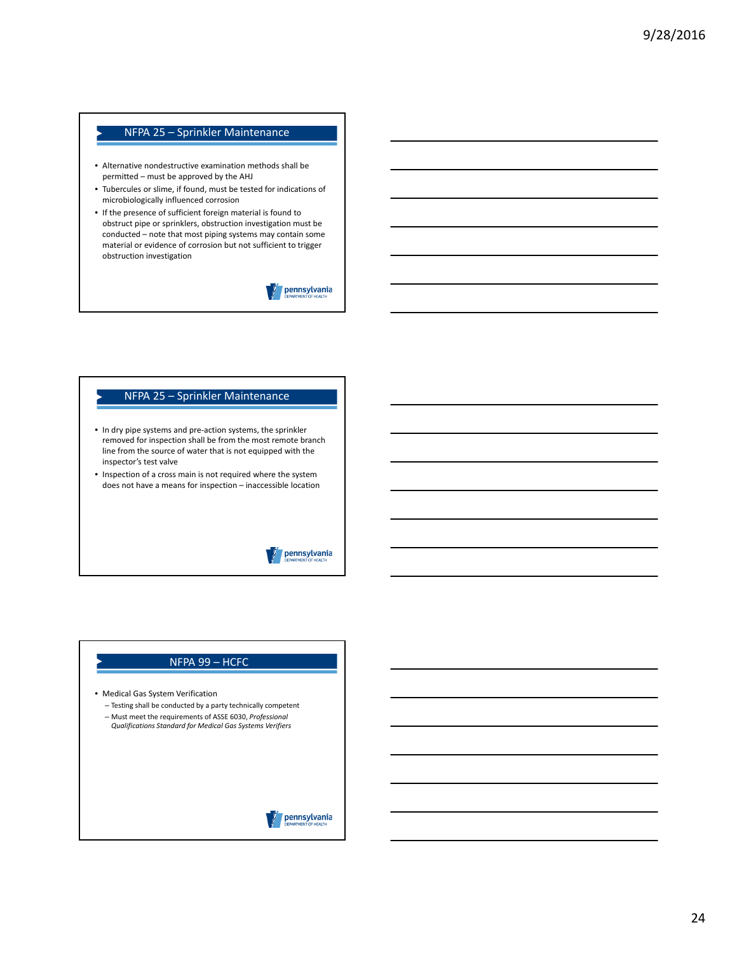# NFPA 25 – Sprinkler Maintenance

- Alternative nondestructive examination methods shall be permitted – must be approved by the AHJ
- Tubercules or slime, if found, must be tested for indications of microbiologically influenced corrosion
- If the presence of sufficient foreign material is found to obstruct pipe or sprinklers, obstruction investigation must be conducted – note that most piping systems may contain some material or evidence of corrosion but not sufficient to trigger obstruction investigation

pennsylvania

#### NFPA 25 – Sprinkler Maintenance

- In dry pipe systems and pre‐action systems, the sprinkler removed for inspection shall be from the most remote branch line from the source of water that is not equipped with the inspector's test valve
- Inspection of a cross main is not required where the system does not have a means for inspection – inaccessible location

### pennsylvania

### NFPA 99 – HCFC

- Medical Gas System Verification
- Testing shall be conducted by a party technically competent – Must meet the requirements of ASSE 6030, *Professional Qualifications Standard for Medical Gas Systems Verifiers*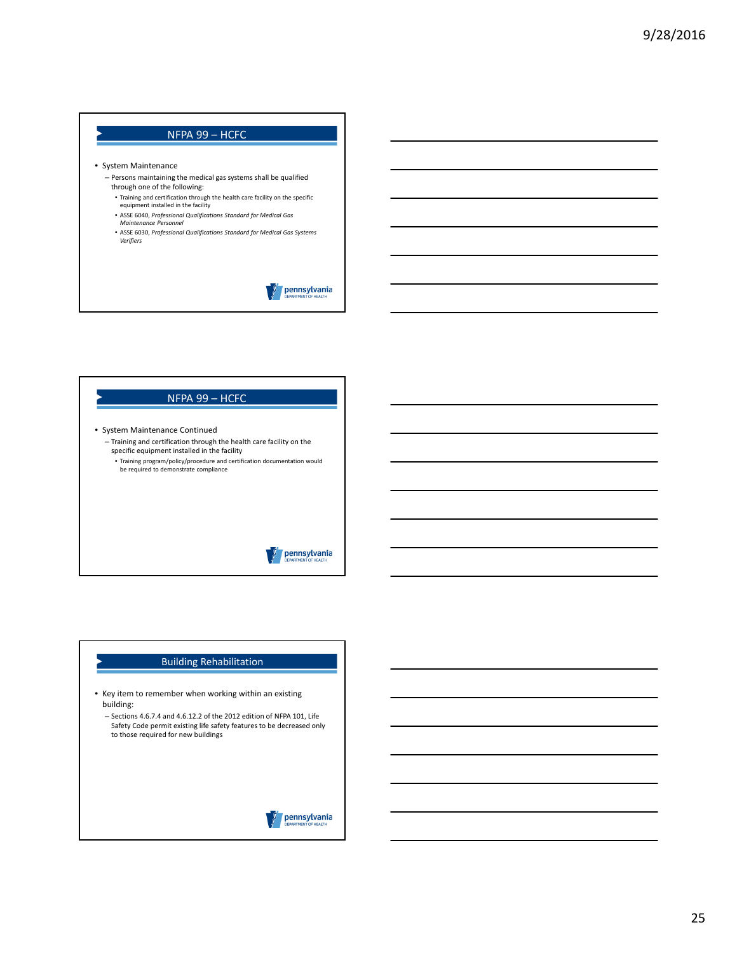## NFPA 99 – HCFC

#### • System Maintenance

- Persons maintaining the medical gas systems shall be qualified through one of the following:
- Training and certification through the health care facility on the specific equipment installed in the facility
- ASSE 6040, *Professional Qualifications Standard for Medical Gas*
- *Maintenance Personnel*
- ASSE 6030, *Professional Qualifications Standard for Medical Gas Systems Verifiers*

pennsylvania

• System Maintenance Continued – Training and certification through the health care facility on the specific equipment installed in the facility • Training program/policy/procedure and certification documentation would

NFPA 99 – HCFC

be required to demonstrate compliance

### pennsylvania

#### Building Rehabilitation

- Key item to remember when working within an existing building:
	- Sections 4.6.7.4 and 4.6.12.2 of the 2012 edition of NFPA 101, Life Safety Code permit existing life safety features to be decreased only to those required for new buildings

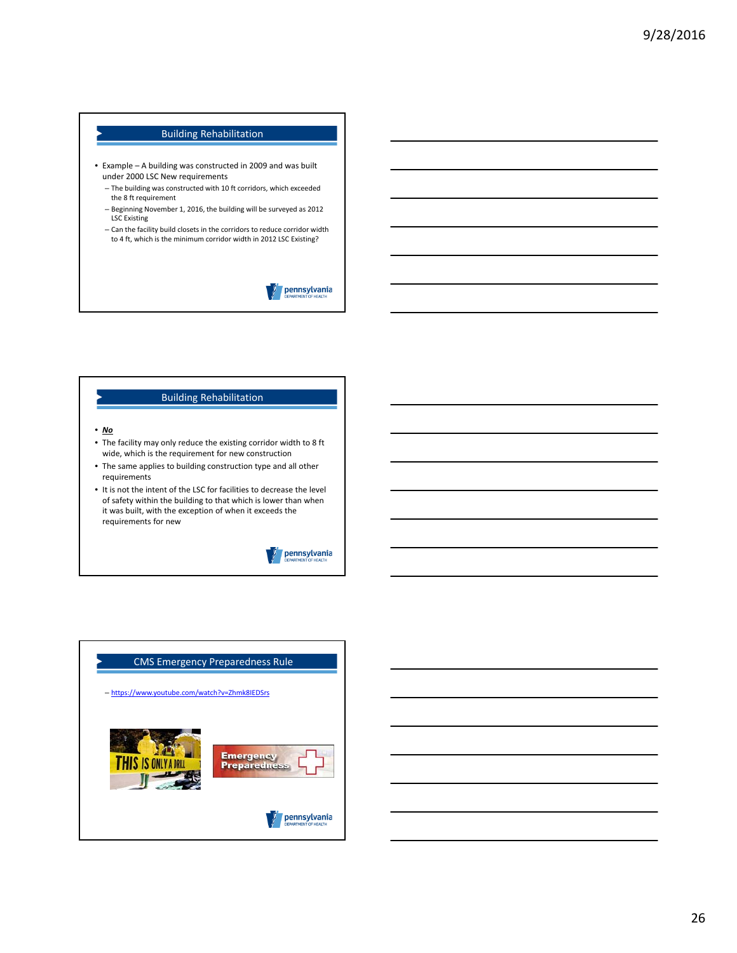#### Building Rehabilitation

- Example A building was constructed in 2009 and was built under 2000 LSC New requirements
	- The building was constructed with 10 ft corridors, which exceeded the 8 ft requirement
	- Beginning November 1, 2016, the building will be surveyed as 2012 LSC Existing
	- Can the facility build closets in the corridors to reduce corridor width to 4 ft, which is the minimum corridor width in 2012 LSC Existing?

| pennsylvania         |
|----------------------|
| DEPARTMENT OF HEALTH |

#### Building Rehabilitation

#### • *No*

- The facility may only reduce the existing corridor width to 8 ft wide, which is the requirement for new construction
- The same applies to building construction type and all other requirements
- It is not the intent of the LSC for facilities to decrease the level of safety within the building to that which is lower than when it was built, with the exception of when it exceeds the requirements for new



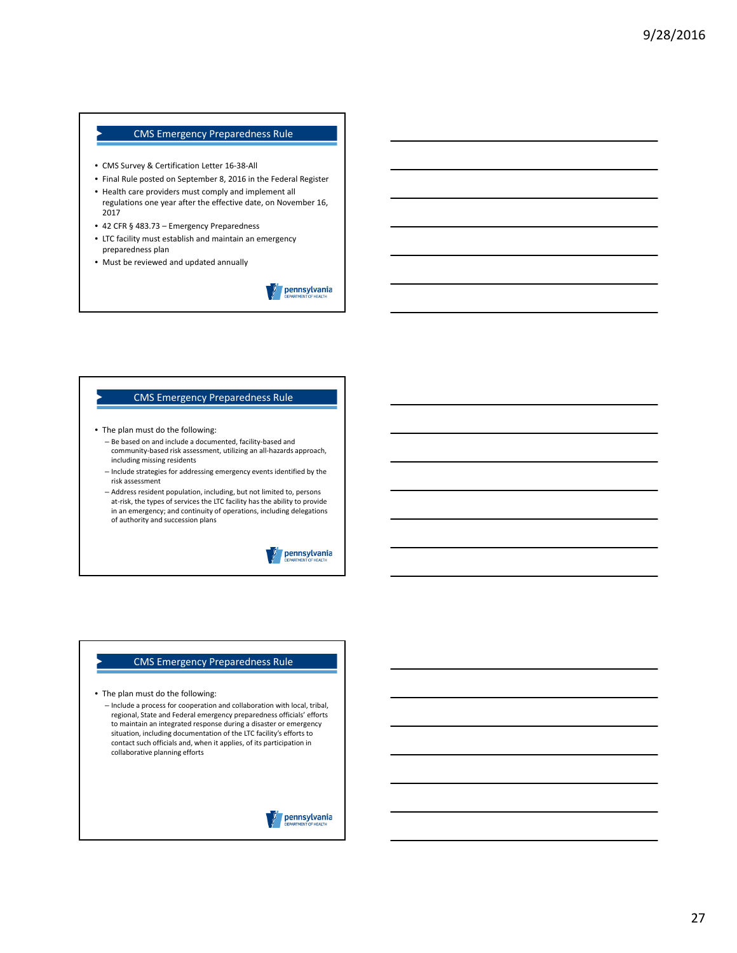- CMS Survey & Certification Letter 16‐38‐All
- Final Rule posted on September 8, 2016 in the Federal Register
- Health care providers must comply and implement all regulations one year after the effective date, on November 16, 2017
- 42 CFR § 483.73 Emergency Preparedness
- LTC facility must establish and maintain an emergency preparedness plan
- Must be reviewed and updated annually



#### CMS Emergency Preparedness Rule

- The plan must do the following:
	- Be based on and include a documented, facility‐based and community‐based risk assessment, utilizing an all‐hazards approach, including missing residents
	- Include strategies for addressing emergency events identified by the risk assessment
	- Address resident population, including, but not limited to, persons at‐risk, the types of services the LTC facility has the ability to provide in an emergency; and continuity of operations, including delegations of authority and succession plans



#### CMS Emergency Preparedness Rule

- The plan must do the following:
	- Include a process for cooperation and collaboration with local, tribal, regional, State and Federal emergency preparedness officials' efforts to maintain an integrated response during a disaster or emergency situation, including documentation of the LTC facility's efforts to contact such officials and, when it applies, of its participation in collaborative planning efforts

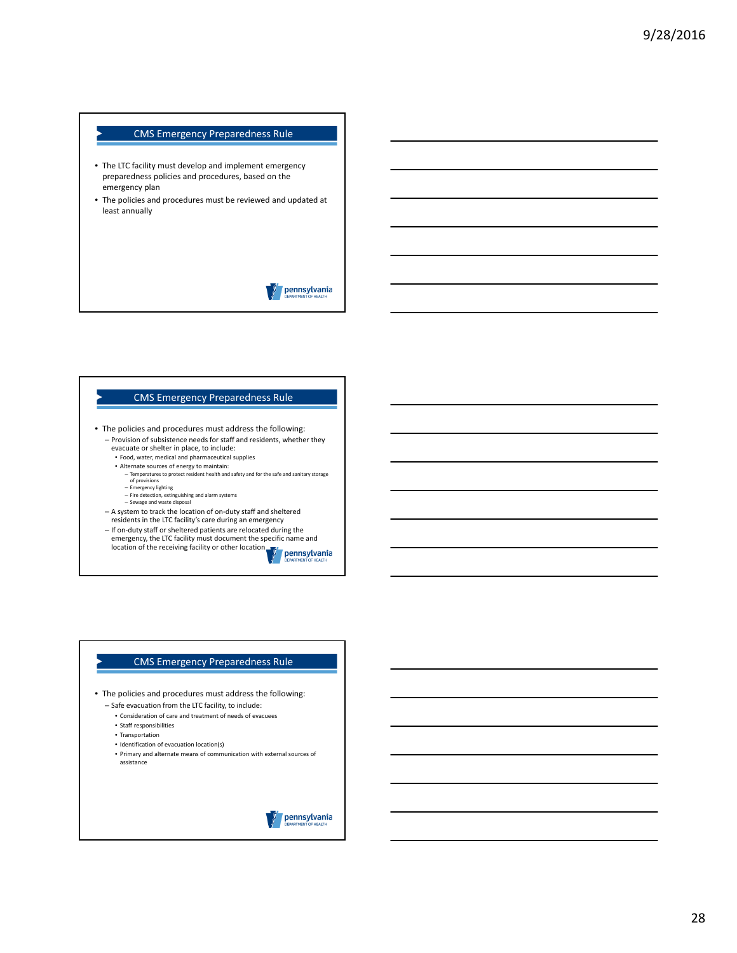- The LTC facility must develop and implement emergency preparedness policies and procedures, based on the emergency plan
- The policies and procedures must be reviewed and updated at least annually

pennsylvania

#### CMS Emergency Preparedness Rule

- The policies and procedures must address the following: – Provision of subsistence needs for staff and residents, whether they evacuate or shelter in place, to include:
	- Food, water, medical and pharmaceutical supplies
	- Alternate sources of energy to maintain:
		- Temperatures to protect resident health and safety and for the safe and sanitary storage of provisions
		-
		- Emergency lighting Fire detection, extinguishing and alarm systems Sewage and waste disposal
	- A system to track the location of on‐duty staff and sheltered
	- residents in the LTC facility's care during an emergency
	- If on‐duty staff or sheltered patients are relocated during the

emergency, the LTC facility must document the specific name and<br>location of the receiving facility or other location pennsylvania

#### CMS Emergency Preparedness Rule

• The policies and procedures must address the following:

- Safe evacuation from the LTC facility, to include:
	- Consideration of care and treatment of needs of evacuees
	- Staff responsibilities
	- Transportation
	- Identification of evacuation location(s)
	- Primary and alternate means of communication with external sources of assistance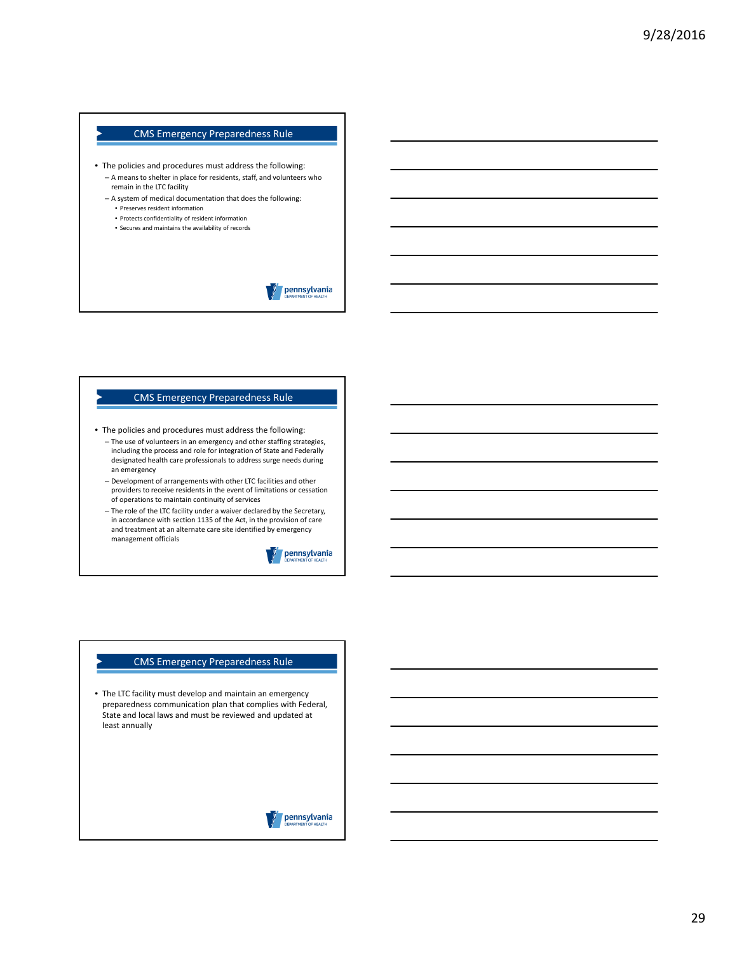- The policies and procedures must address the following: – A means to shelter in place for residents, staff, and volunteers who remain in the LTC facility
	- A system of medical documentation that does the following:
		- Preserves resident information • Protects confidentiality of resident information
		- Secures and maintains the availability of records

pennsylvania

#### CMS Emergency Preparedness Rule

- The policies and procedures must address the following:
	- The use of volunteers in an emergency and other staffing strategies, including the process and role for integration of State and Federally designated health care professionals to address surge needs during an emergency
	- Development of arrangements with other LTC facilities and other providers to receive residents in the event of limitations or cessation of operations to maintain continuity of services
	- The role of the LTC facility under a waiver declared by the Secretary, in accordance with section 1135 of the Act, in the provision of care and treatment at an alternate care site identified by emergency management officials

pennsylvania

#### CMS Emergency Preparedness Rule

• The LTC facility must develop and maintain an emergency preparedness communication plan that complies with Federal, State and local laws and must be reviewed and updated at least annually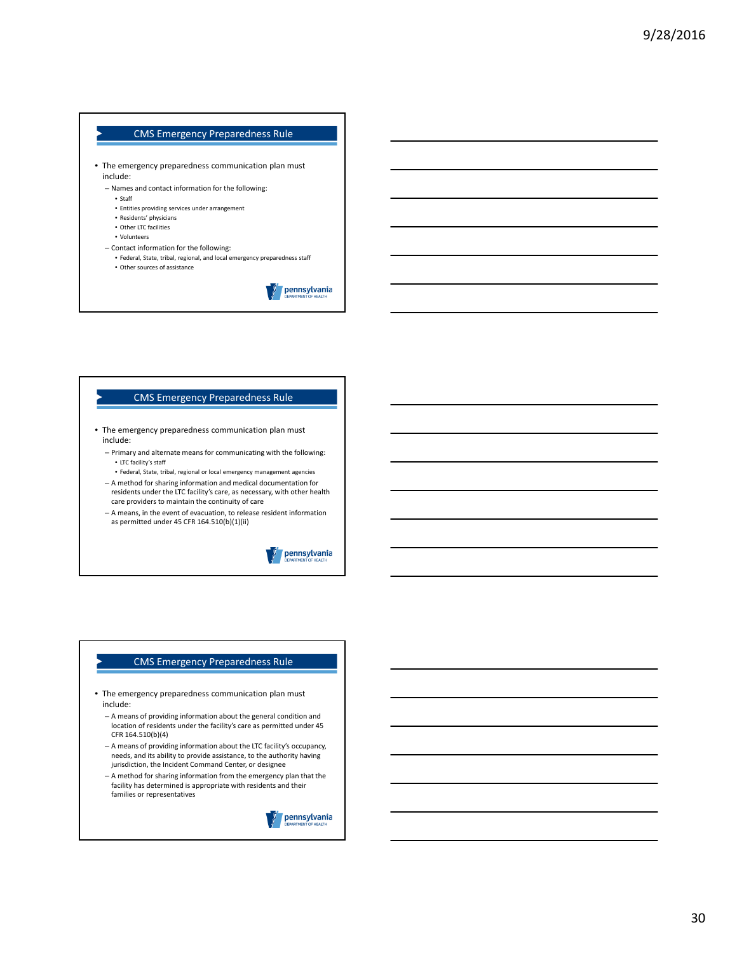- The emergency preparedness communication plan must include:
	- Names and contact information for the following:
		- Staff
		- Entities providing services under arrangement
		- Residents' physicians
		- Other LTC facilities
		- Volunteers
	- Contact information for the following:
	- Federal, State, tribal, regional, and local emergency preparedness staff • Other sources of assistance
		-

pennsylvania

#### CMS Emergency Preparedness Rule

- The emergency preparedness communication plan must include:
	- Primary and alternate means for communicating with the following: • LTC facility's staff
		- Federal, State, tribal, regional or local emergency management agencies
	- A method for sharing information and medical documentation for residents under the LTC facility's care, as necessary, with other health care providers to maintain the continuity of care
	- A means, in the event of evacuation, to release resident information as permitted under 45 CFR  $164.510(b)(1)(ii)$



#### CMS Emergency Preparedness Rule

- The emergency preparedness communication plan must include:
	- A means of providing information about the general condition and location of residents under the facility's care as permitted under 45 CFR 164.510(b)(4)
	- A means of providing information about the LTC facility's occupancy, needs, and its ability to provide assistance, to the authority having jurisdiction, the Incident Command Center, or designee
	- A method for sharing information from the emergency plan that the facility has determined is appropriate with residents and their families or representatives

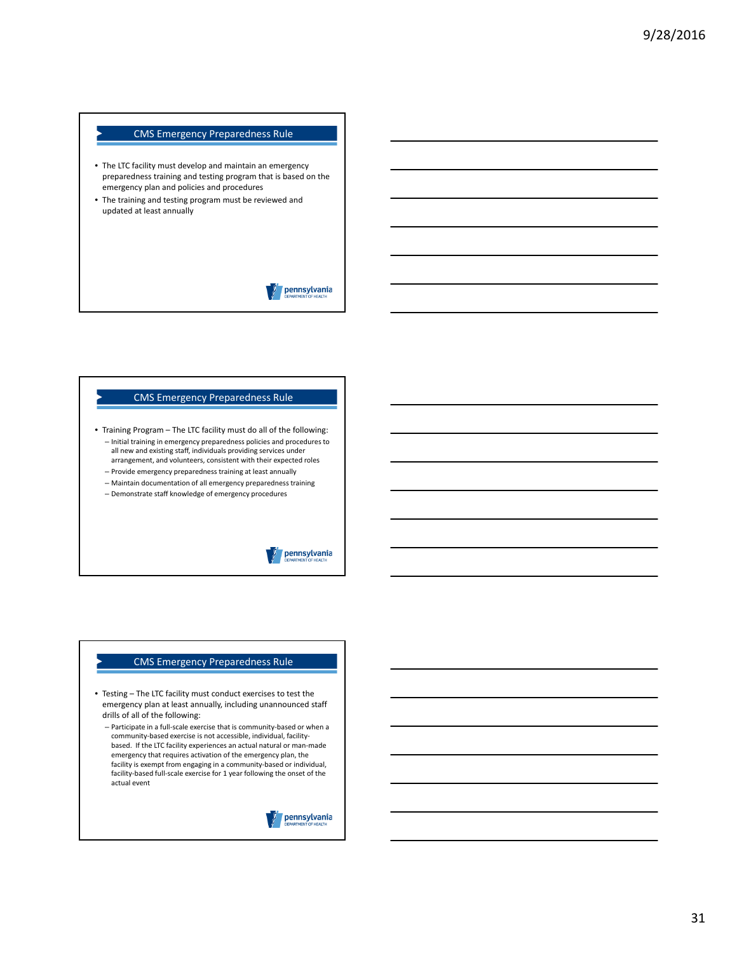- The LTC facility must develop and maintain an emergency preparedness training and testing program that is based on the emergency plan and policies and procedures
- The training and testing program must be reviewed and updated at least annually

# pennsylvania

#### CMS Emergency Preparedness Rule

• Training Program – The LTC facility must do all of the following: – Initial training in emergency preparedness policies and procedures to all new and existing staff, individuals providing services under arrangement, and volunteers, consistent with their expected roles

- Provide emergency preparedness training at least annually
- Maintain documentation of all emergency preparedness training
- Demonstrate staff knowledge of emergency procedures

# pennsylvania

#### CMS Emergency Preparedness Rule

- Testing The LTC facility must conduct exercises to test the emergency plan at least annually, including unannounced staff drills of all of the following:
	- Participate in a full‐scale exercise that is community‐based or when a community-based exercise is not accessible, individual, facilitybased. If the LTC facility experiences an actual natural or man‐made emergency that requires activation of the emergency plan, the facility is exempt from engaging in a community-based or individual, facility‐based full‐scale exercise for 1 year following the onset of the actual event

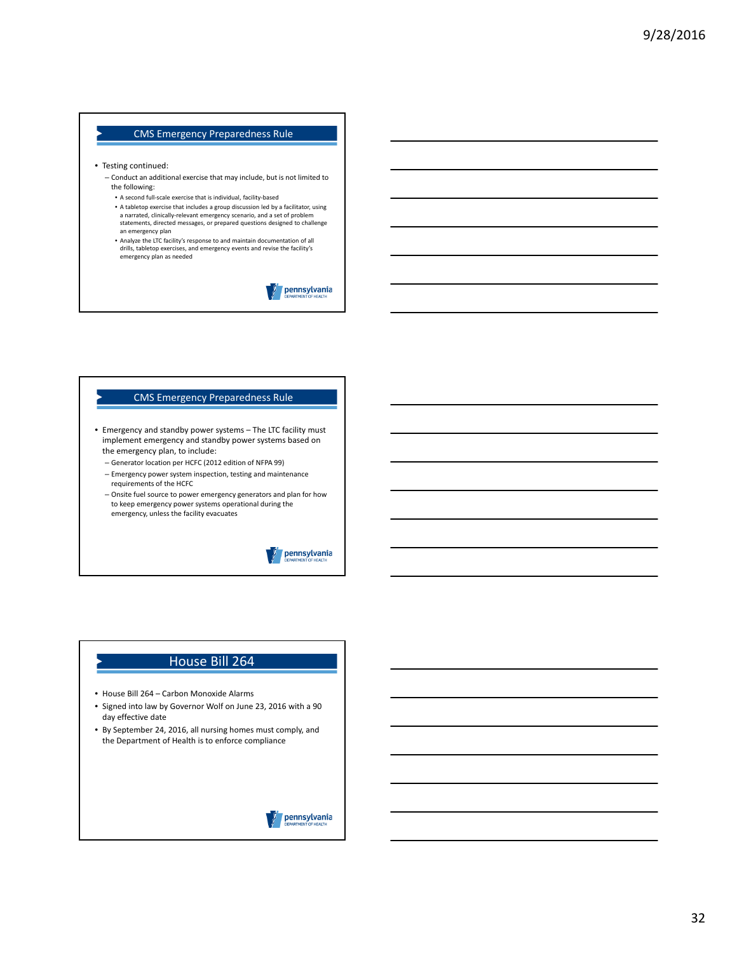- Testing continued:
	- Conduct an additional exercise that may include, but is not limited to the following:
	- A second full‐scale exercise that is individual, facility‐based
	- A tabletop exercise that includes a group discussion led by a facilitator, using a narrated, clinically‐relevant emergency scenario, and a set of problem statements, directed messages, or prepared questions designed to challenge an emergency plan
	- Analyze the LTC facility's response to and maintain documentation of all drills, tabletop exercises, and emergency events and revise the facility's emergency plan as needed

pennsylvania

#### CMS Emergency Preparedness Rule

- Emergency and standby power systems The LTC facility must implement emergency and standby power systems based on the emergency plan, to include:
	- Generator location per HCFC (2012 edition of NFPA 99)
	- Emergency power system inspection, testing and maintenance requirements of the HCFC
	- Onsite fuel source to power emergency generators and plan for how to keep emergency power systems operational during the emergency, unless the facility evacuates



#### House Bill 264

- House Bill 264 Carbon Monoxide Alarms
- Signed into law by Governor Wolf on June 23, 2016 with a 90 day effective date
- By September 24, 2016, all nursing homes must comply, and the Department of Health is to enforce compliance

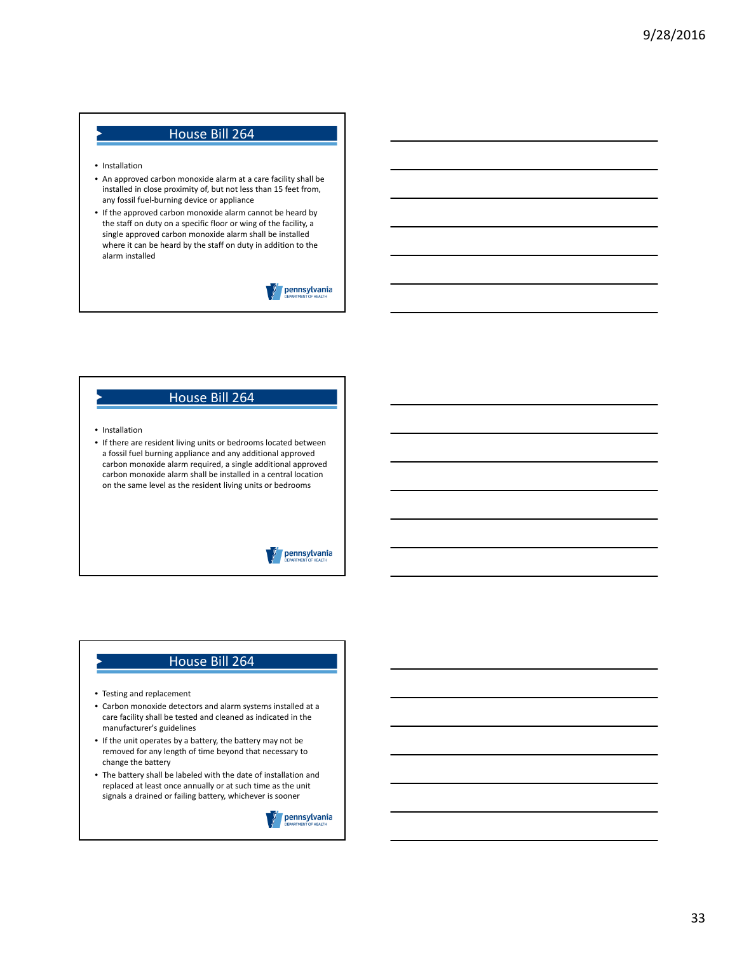# House Bill 264

- Installation
- An approved carbon monoxide alarm at a care facility shall be installed in close proximity of, but not less than 15 feet from, any fossil fuel‐burning device or appliance
- If the approved carbon monoxide alarm cannot be heard by the staff on duty on a specific floor or wing of the facility, a single approved carbon monoxide alarm shall be installed where it can be heard by the staff on duty in addition to the alarm installed

pennsylvania

### House Bill 264

- Installation
- If there are resident living units or bedrooms located between a fossil fuel burning appliance and any additional approved carbon monoxide alarm required, a single additional approved carbon monoxide alarm shall be installed in a central location on the same level as the resident living units or bedrooms

### pennsylvania

#### House Bill 264

- Testing and replacement
- Carbon monoxide detectors and alarm systems installed at a care facility shall be tested and cleaned as indicated in the manufacturer's guidelines
- If the unit operates by a battery, the battery may not be removed for any length of time beyond that necessary to change the battery
- The battery shall be labeled with the date of installation and replaced at least once annually or at such time as the unit signals a drained or failing battery, whichever is sooner

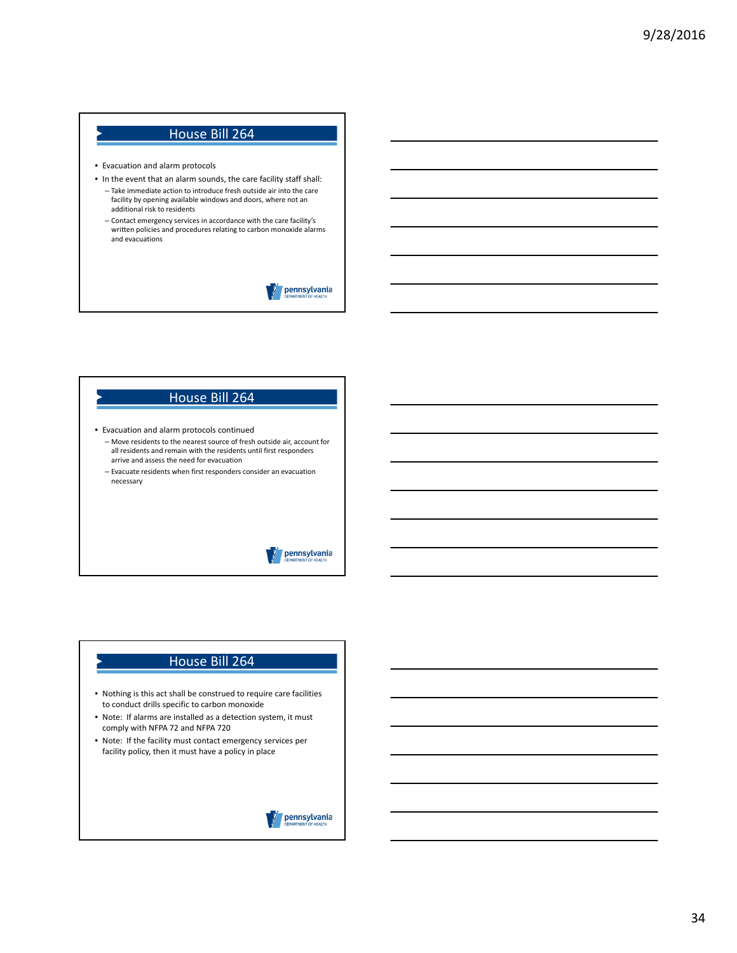# House Bill 264

- Evacuation and alarm protocols
- In the event that an alarm sounds, the care facility staff shall:
- Take immediate action to introduce fresh outside air into the care facility by opening available windows and doors, where not an additional risk to residents
- Contact emergency services in accordance with the care facility's written policies and procedures relating to carbon monoxide alarms and evacuations

pennsylvania

# House Bill 264

- Evacuation and alarm protocols continued
	- Move residents to the nearest source of fresh outside air, account for all residents and remain with the residents until first responders arrive and assess the need for evacuation
	- Evacuate residents when first responders consider an evacuation necessary

### pennsylvania

# House Bill 264

- Nothing is this act shall be construed to require care facilities to conduct drills specific to carbon monoxide
- Note: If alarms are installed as a detection system, it must comply with NFPA 72 and NFPA 720
- Note: If the facility must contact emergency services per facility policy, then it must have a policy in place